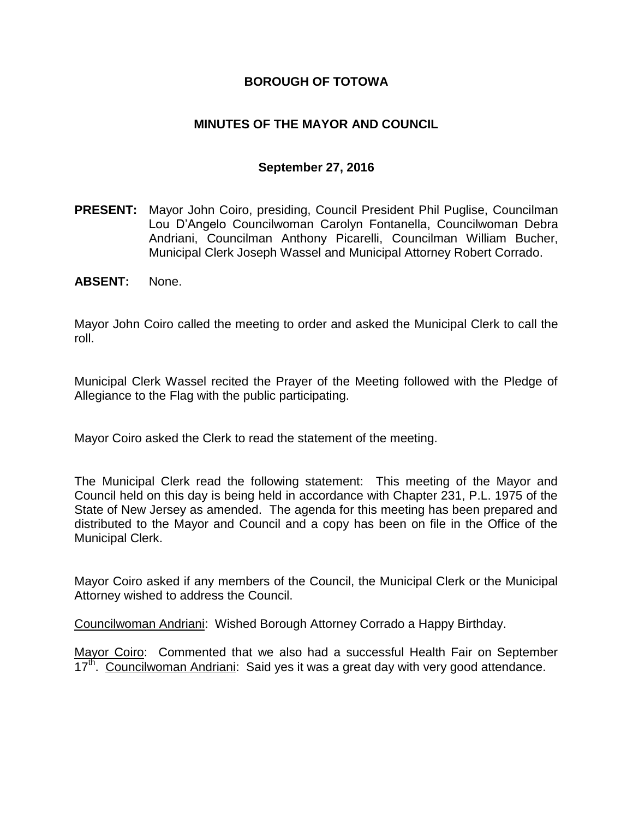### **BOROUGH OF TOTOWA**

### **MINUTES OF THE MAYOR AND COUNCIL**

#### **September 27, 2016**

- **PRESENT:** Mayor John Coiro, presiding, Council President Phil Puglise, Councilman Lou D'Angelo Councilwoman Carolyn Fontanella, Councilwoman Debra Andriani, Councilman Anthony Picarelli, Councilman William Bucher, Municipal Clerk Joseph Wassel and Municipal Attorney Robert Corrado.
- **ABSENT:** None.

Mayor John Coiro called the meeting to order and asked the Municipal Clerk to call the roll.

Municipal Clerk Wassel recited the Prayer of the Meeting followed with the Pledge of Allegiance to the Flag with the public participating.

Mayor Coiro asked the Clerk to read the statement of the meeting.

The Municipal Clerk read the following statement: This meeting of the Mayor and Council held on this day is being held in accordance with Chapter 231, P.L. 1975 of the State of New Jersey as amended. The agenda for this meeting has been prepared and distributed to the Mayor and Council and a copy has been on file in the Office of the Municipal Clerk.

Mayor Coiro asked if any members of the Council, the Municipal Clerk or the Municipal Attorney wished to address the Council.

Councilwoman Andriani: Wished Borough Attorney Corrado a Happy Birthday.

Mayor Coiro: Commented that we also had a successful Health Fair on September 17<sup>th</sup>. Councilwoman Andriani: Said yes it was a great day with very good attendance.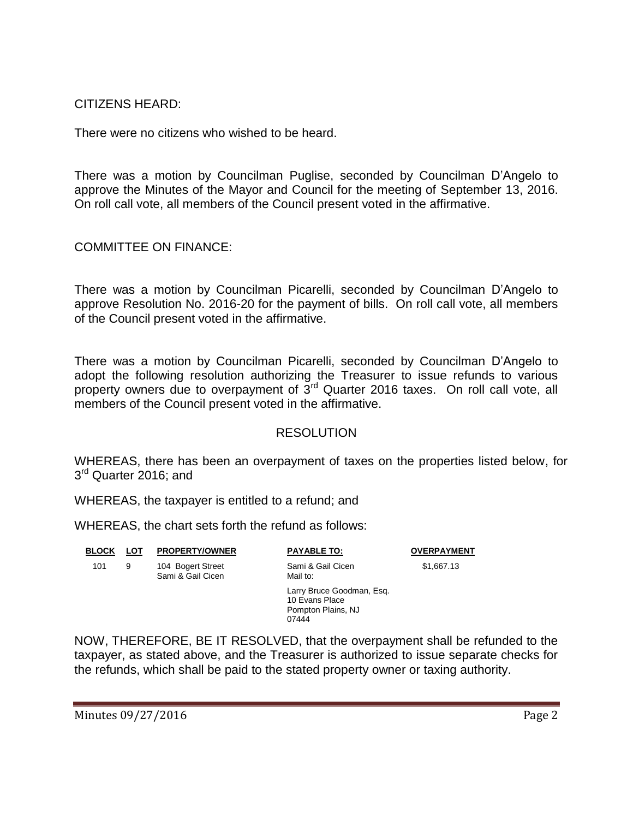CITIZENS HEARD:

There were no citizens who wished to be heard.

There was a motion by Councilman Puglise, seconded by Councilman D'Angelo to approve the Minutes of the Mayor and Council for the meeting of September 13, 2016. On roll call vote, all members of the Council present voted in the affirmative.

COMMITTEE ON FINANCE:

There was a motion by Councilman Picarelli, seconded by Councilman D'Angelo to approve Resolution No. 2016-20 for the payment of bills. On roll call vote, all members of the Council present voted in the affirmative.

There was a motion by Councilman Picarelli, seconded by Councilman D'Angelo to adopt the following resolution authorizing the Treasurer to issue refunds to various property owners due to overpayment of  $3<sup>rd</sup>$  Quarter 2016 taxes. On roll call vote, all members of the Council present voted in the affirmative.

#### **RESOLUTION**

WHEREAS, there has been an overpayment of taxes on the properties listed below, for 3<sup>rd</sup> Quarter 2016; and

WHEREAS, the taxpayer is entitled to a refund; and

WHEREAS, the chart sets forth the refund as follows:

| <b>BLOCK</b> | LOT | <b>PROPERTY/OWNER</b>                  | <b>PAYABLE TO:</b>                                                         | <b>OVERPAYMENT</b> |
|--------------|-----|----------------------------------------|----------------------------------------------------------------------------|--------------------|
| 101          | 9   | 104 Bogert Street<br>Sami & Gail Cicen | Sami & Gail Cicen<br>Mail to:                                              | \$1,667.13         |
|              |     |                                        | Larry Bruce Goodman, Esg.<br>10 Evans Place<br>Pompton Plains, NJ<br>07444 |                    |

NOW, THEREFORE, BE IT RESOLVED, that the overpayment shall be refunded to the taxpayer, as stated above, and the Treasurer is authorized to issue separate checks for the refunds, which shall be paid to the stated property owner or taxing authority.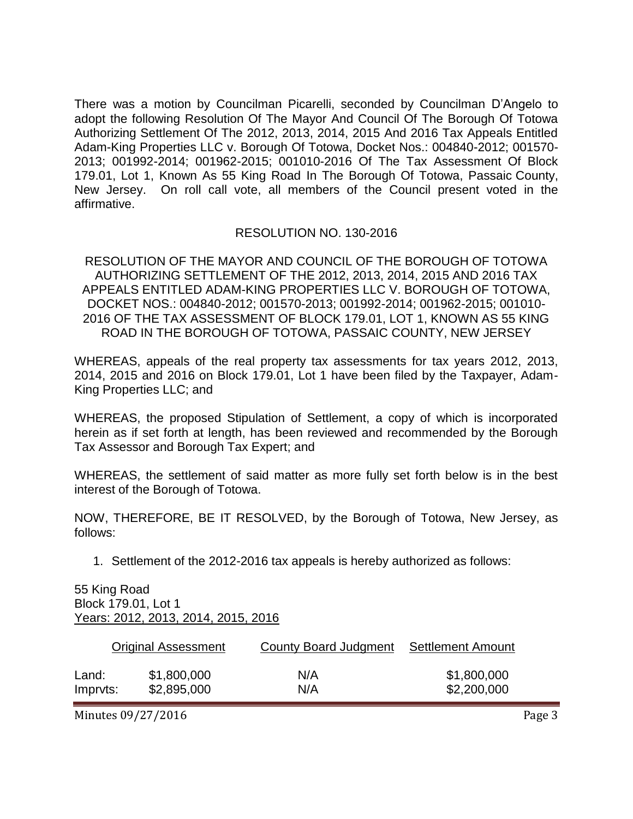There was a motion by Councilman Picarelli, seconded by Councilman D'Angelo to adopt the following Resolution Of The Mayor And Council Of The Borough Of Totowa Authorizing Settlement Of The 2012, 2013, 2014, 2015 And 2016 Tax Appeals Entitled Adam-King Properties LLC v. Borough Of Totowa, Docket Nos.: 004840-2012; 001570- 2013; 001992-2014; 001962-2015; 001010-2016 Of The Tax Assessment Of Block 179.01, Lot 1, Known As 55 King Road In The Borough Of Totowa, Passaic County, New Jersey. On roll call vote, all members of the Council present voted in the affirmative.

### RESOLUTION NO. 130-2016

RESOLUTION OF THE MAYOR AND COUNCIL OF THE BOROUGH OF TOTOWA AUTHORIZING SETTLEMENT OF THE 2012, 2013, 2014, 2015 AND 2016 TAX APPEALS ENTITLED ADAM-KING PROPERTIES LLC V. BOROUGH OF TOTOWA, DOCKET NOS.: 004840-2012; 001570-2013; 001992-2014; 001962-2015; 001010- 2016 OF THE TAX ASSESSMENT OF BLOCK 179.01, LOT 1, KNOWN AS 55 KING ROAD IN THE BOROUGH OF TOTOWA, PASSAIC COUNTY, NEW JERSEY

WHEREAS, appeals of the real property tax assessments for tax years 2012, 2013, 2014, 2015 and 2016 on Block 179.01, Lot 1 have been filed by the Taxpayer, Adam-King Properties LLC; and

WHEREAS, the proposed Stipulation of Settlement, a copy of which is incorporated herein as if set forth at length, has been reviewed and recommended by the Borough Tax Assessor and Borough Tax Expert; and

WHEREAS, the settlement of said matter as more fully set forth below is in the best interest of the Borough of Totowa.

NOW, THEREFORE, BE IT RESOLVED, by the Borough of Totowa, New Jersey, as follows:

1. Settlement of the 2012-2016 tax appeals is hereby authorized as follows:

55 King Road Block 179.01, Lot 1 Years: 2012, 2013, 2014, 2015, 2016

|          | <b>Original Assessment</b> | County Board Judgment | <b>Settlement Amount</b> |
|----------|----------------------------|-----------------------|--------------------------|
| Land:    | \$1,800,000                | N/A                   | \$1,800,000              |
| Impryts: | \$2,895,000                | N/A                   | \$2,200,000              |

Minutes 09/27/2016 **Page 3**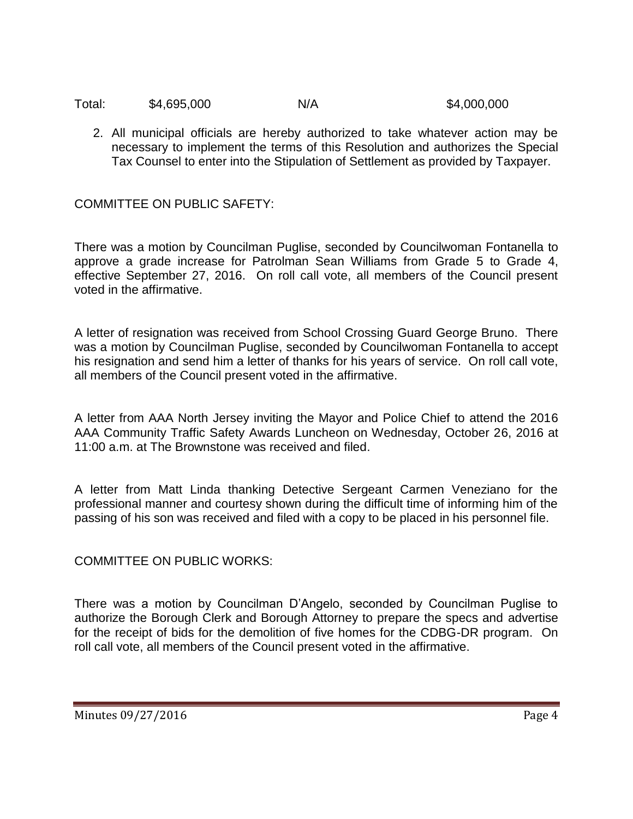| Total: | \$4,695,000 | N/A | \$4,000,000 |
|--------|-------------|-----|-------------|
|--------|-------------|-----|-------------|

2. All municipal officials are hereby authorized to take whatever action may be necessary to implement the terms of this Resolution and authorizes the Special Tax Counsel to enter into the Stipulation of Settlement as provided by Taxpayer.

COMMITTEE ON PUBLIC SAFETY:

There was a motion by Councilman Puglise, seconded by Councilwoman Fontanella to approve a grade increase for Patrolman Sean Williams from Grade 5 to Grade 4, effective September 27, 2016. On roll call vote, all members of the Council present voted in the affirmative.

A letter of resignation was received from School Crossing Guard George Bruno. There was a motion by Councilman Puglise, seconded by Councilwoman Fontanella to accept his resignation and send him a letter of thanks for his years of service. On roll call vote, all members of the Council present voted in the affirmative.

A letter from AAA North Jersey inviting the Mayor and Police Chief to attend the 2016 AAA Community Traffic Safety Awards Luncheon on Wednesday, October 26, 2016 at 11:00 a.m. at The Brownstone was received and filed.

A letter from Matt Linda thanking Detective Sergeant Carmen Veneziano for the professional manner and courtesy shown during the difficult time of informing him of the passing of his son was received and filed with a copy to be placed in his personnel file.

COMMITTEE ON PUBLIC WORKS:

There was a motion by Councilman D'Angelo, seconded by Councilman Puglise to authorize the Borough Clerk and Borough Attorney to prepare the specs and advertise for the receipt of bids for the demolition of five homes for the CDBG-DR program. On roll call vote, all members of the Council present voted in the affirmative.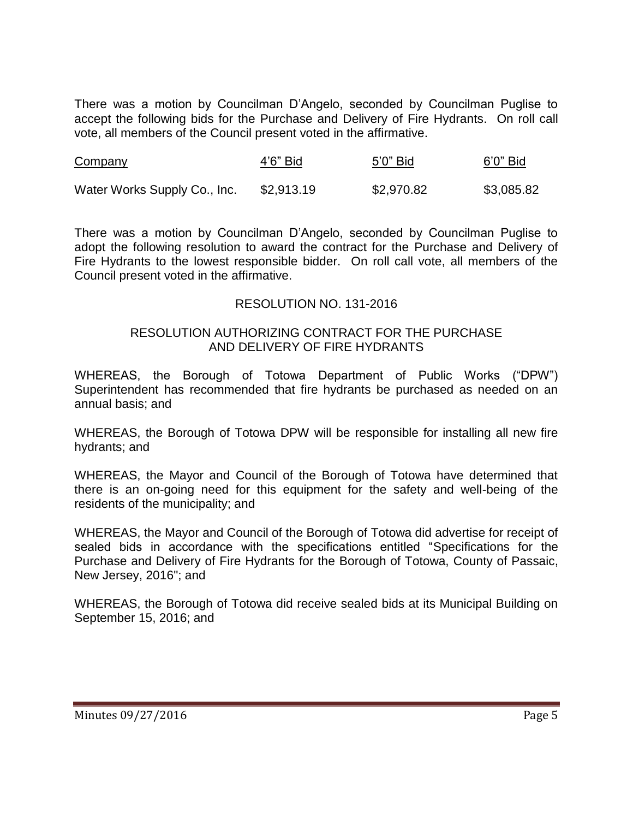There was a motion by Councilman D'Angelo, seconded by Councilman Puglise to accept the following bids for the Purchase and Delivery of Fire Hydrants. On roll call vote, all members of the Council present voted in the affirmative.

| Company                      | 4'6" Bid   | 5'0" Bid   | 6'0" Bid   |
|------------------------------|------------|------------|------------|
| Water Works Supply Co., Inc. | \$2,913.19 | \$2,970.82 | \$3,085.82 |

There was a motion by Councilman D'Angelo, seconded by Councilman Puglise to adopt the following resolution to award the contract for the Purchase and Delivery of Fire Hydrants to the lowest responsible bidder. On roll call vote, all members of the Council present voted in the affirmative.

# RESOLUTION NO. 131-2016

#### RESOLUTION AUTHORIZING CONTRACT FOR THE PURCHASE AND DELIVERY OF FIRE HYDRANTS

WHEREAS, the Borough of Totowa Department of Public Works ("DPW") Superintendent has recommended that fire hydrants be purchased as needed on an annual basis; and

WHEREAS, the Borough of Totowa DPW will be responsible for installing all new fire hydrants; and

WHEREAS, the Mayor and Council of the Borough of Totowa have determined that there is an on-going need for this equipment for the safety and well-being of the residents of the municipality; and

WHEREAS, the Mayor and Council of the Borough of Totowa did advertise for receipt of sealed bids in accordance with the specifications entitled "Specifications for the Purchase and Delivery of Fire Hydrants for the Borough of Totowa, County of Passaic, New Jersey, 2016"; and

WHEREAS, the Borough of Totowa did receive sealed bids at its Municipal Building on September 15, 2016; and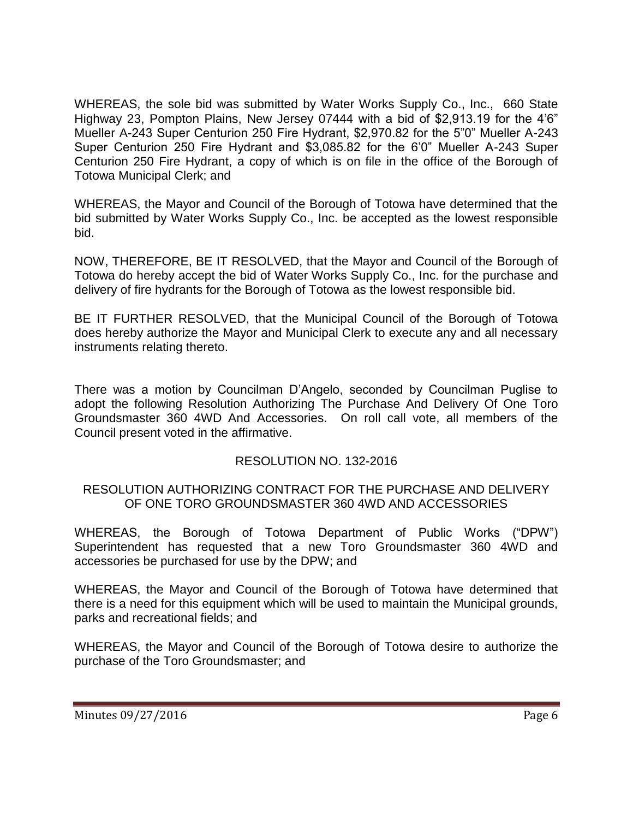WHEREAS, the sole bid was submitted by Water Works Supply Co., Inc., 660 State Highway 23, Pompton Plains, New Jersey 07444 with a bid of \$2,913.19 for the 4'6" Mueller A-243 Super Centurion 250 Fire Hydrant, \$2,970.82 for the 5"0" Mueller A-243 Super Centurion 250 Fire Hydrant and \$3,085.82 for the 6'0" Mueller A-243 Super Centurion 250 Fire Hydrant, a copy of which is on file in the office of the Borough of Totowa Municipal Clerk; and

WHEREAS, the Mayor and Council of the Borough of Totowa have determined that the bid submitted by Water Works Supply Co., Inc. be accepted as the lowest responsible bid.

NOW, THEREFORE, BE IT RESOLVED, that the Mayor and Council of the Borough of Totowa do hereby accept the bid of Water Works Supply Co., Inc. for the purchase and delivery of fire hydrants for the Borough of Totowa as the lowest responsible bid.

BE IT FURTHER RESOLVED, that the Municipal Council of the Borough of Totowa does hereby authorize the Mayor and Municipal Clerk to execute any and all necessary instruments relating thereto.

There was a motion by Councilman D'Angelo, seconded by Councilman Puglise to adopt the following Resolution Authorizing The Purchase And Delivery Of One Toro Groundsmaster 360 4WD And Accessories. On roll call vote, all members of the Council present voted in the affirmative.

# RESOLUTION NO. 132-2016

#### RESOLUTION AUTHORIZING CONTRACT FOR THE PURCHASE AND DELIVERY OF ONE TORO GROUNDSMASTER 360 4WD AND ACCESSORIES

WHEREAS, the Borough of Totowa Department of Public Works ("DPW") Superintendent has requested that a new Toro Groundsmaster 360 4WD and accessories be purchased for use by the DPW; and

WHEREAS, the Mayor and Council of the Borough of Totowa have determined that there is a need for this equipment which will be used to maintain the Municipal grounds, parks and recreational fields; and

WHEREAS, the Mayor and Council of the Borough of Totowa desire to authorize the purchase of the Toro Groundsmaster; and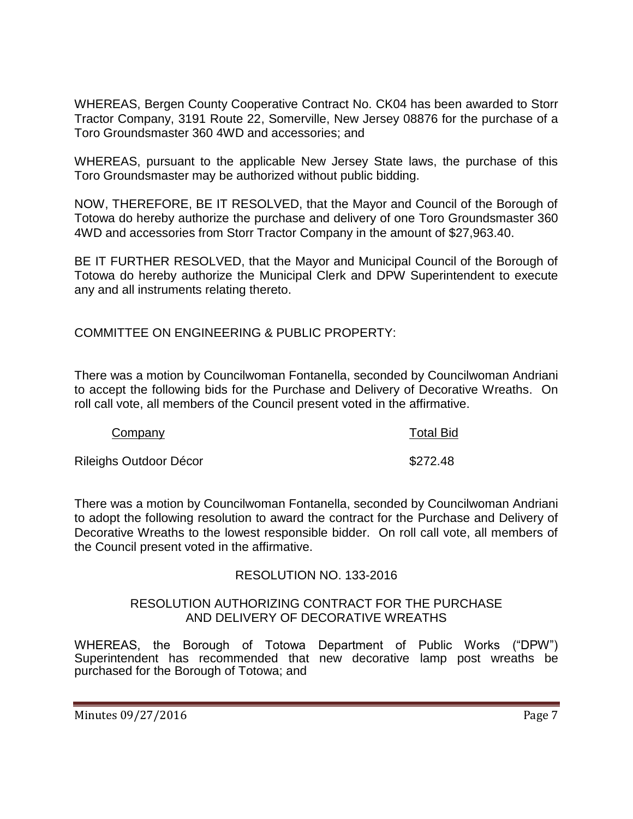WHEREAS, Bergen County Cooperative Contract No. CK04 has been awarded to Storr Tractor Company, 3191 Route 22, Somerville, New Jersey 08876 for the purchase of a Toro Groundsmaster 360 4WD and accessories; and

WHEREAS, pursuant to the applicable New Jersey State laws, the purchase of this Toro Groundsmaster may be authorized without public bidding.

NOW, THEREFORE, BE IT RESOLVED, that the Mayor and Council of the Borough of Totowa do hereby authorize the purchase and delivery of one Toro Groundsmaster 360 4WD and accessories from Storr Tractor Company in the amount of \$27,963.40.

BE IT FURTHER RESOLVED, that the Mayor and Municipal Council of the Borough of Totowa do hereby authorize the Municipal Clerk and DPW Superintendent to execute any and all instruments relating thereto.

COMMITTEE ON ENGINEERING & PUBLIC PROPERTY:

There was a motion by Councilwoman Fontanella, seconded by Councilwoman Andriani to accept the following bids for the Purchase and Delivery of Decorative Wreaths. On roll call vote, all members of the Council present voted in the affirmative.

| Company                | <b>Total Bid</b> |
|------------------------|------------------|
| Rileighs Outdoor Décor | \$272.48         |

There was a motion by Councilwoman Fontanella, seconded by Councilwoman Andriani to adopt the following resolution to award the contract for the Purchase and Delivery of Decorative Wreaths to the lowest responsible bidder. On roll call vote, all members of the Council present voted in the affirmative.

# RESOLUTION NO. 133-2016

#### RESOLUTION AUTHORIZING CONTRACT FOR THE PURCHASE AND DELIVERY OF DECORATIVE WREATHS

WHEREAS, the Borough of Totowa Department of Public Works ("DPW") Superintendent has recommended that new decorative lamp post wreaths be purchased for the Borough of Totowa; and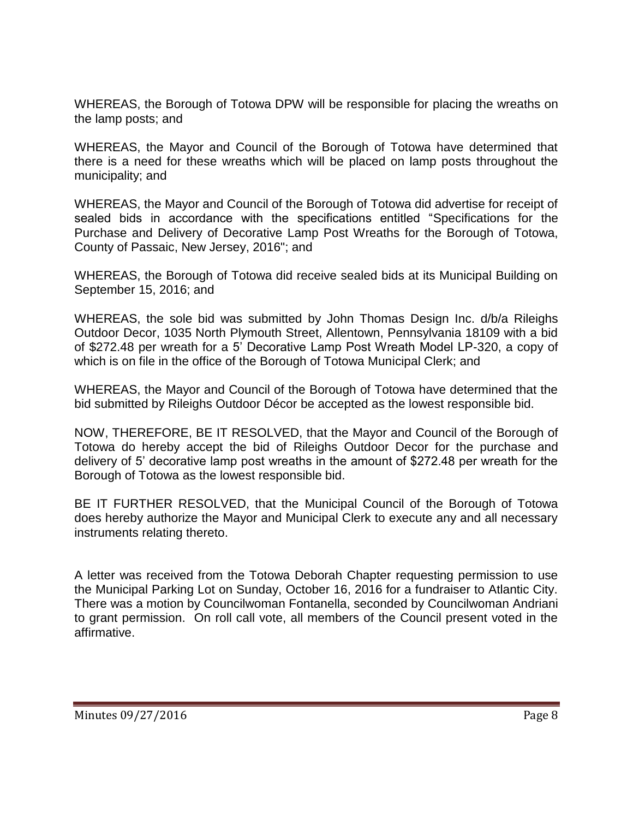WHEREAS, the Borough of Totowa DPW will be responsible for placing the wreaths on the lamp posts; and

WHEREAS, the Mayor and Council of the Borough of Totowa have determined that there is a need for these wreaths which will be placed on lamp posts throughout the municipality; and

WHEREAS, the Mayor and Council of the Borough of Totowa did advertise for receipt of sealed bids in accordance with the specifications entitled "Specifications for the Purchase and Delivery of Decorative Lamp Post Wreaths for the Borough of Totowa, County of Passaic, New Jersey, 2016"; and

WHEREAS, the Borough of Totowa did receive sealed bids at its Municipal Building on September 15, 2016; and

WHEREAS, the sole bid was submitted by John Thomas Design Inc. d/b/a Rileighs Outdoor Decor, 1035 North Plymouth Street, Allentown, Pennsylvania 18109 with a bid of \$272.48 per wreath for a 5' Decorative Lamp Post Wreath Model LP-320, a copy of which is on file in the office of the Borough of Totowa Municipal Clerk; and

WHEREAS, the Mayor and Council of the Borough of Totowa have determined that the bid submitted by Rileighs Outdoor Décor be accepted as the lowest responsible bid.

NOW, THEREFORE, BE IT RESOLVED, that the Mayor and Council of the Borough of Totowa do hereby accept the bid of Rileighs Outdoor Decor for the purchase and delivery of 5' decorative lamp post wreaths in the amount of \$272.48 per wreath for the Borough of Totowa as the lowest responsible bid.

BE IT FURTHER RESOLVED, that the Municipal Council of the Borough of Totowa does hereby authorize the Mayor and Municipal Clerk to execute any and all necessary instruments relating thereto.

A letter was received from the Totowa Deborah Chapter requesting permission to use the Municipal Parking Lot on Sunday, October 16, 2016 for a fundraiser to Atlantic City. There was a motion by Councilwoman Fontanella, seconded by Councilwoman Andriani to grant permission. On roll call vote, all members of the Council present voted in the affirmative.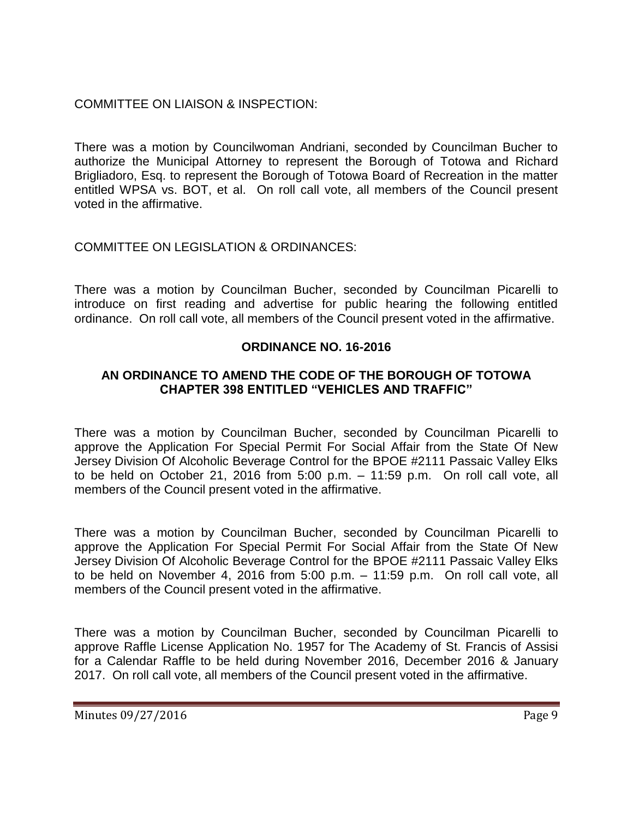# COMMITTEE ON LIAISON & INSPECTION:

There was a motion by Councilwoman Andriani, seconded by Councilman Bucher to authorize the Municipal Attorney to represent the Borough of Totowa and Richard Brigliadoro, Esq. to represent the Borough of Totowa Board of Recreation in the matter entitled WPSA vs. BOT, et al. On roll call vote, all members of the Council present voted in the affirmative.

# COMMITTEE ON LEGISLATION & ORDINANCES:

There was a motion by Councilman Bucher, seconded by Councilman Picarelli to introduce on first reading and advertise for public hearing the following entitled ordinance. On roll call vote, all members of the Council present voted in the affirmative.

# **ORDINANCE NO. 16-2016**

# **AN ORDINANCE TO AMEND THE CODE OF THE BOROUGH OF TOTOWA CHAPTER 398 ENTITLED "VEHICLES AND TRAFFIC"**

There was a motion by Councilman Bucher, seconded by Councilman Picarelli to approve the Application For Special Permit For Social Affair from the State Of New Jersey Division Of Alcoholic Beverage Control for the BPOE #2111 Passaic Valley Elks to be held on October 21, 2016 from 5:00 p.m. – 11:59 p.m. On roll call vote, all members of the Council present voted in the affirmative.

There was a motion by Councilman Bucher, seconded by Councilman Picarelli to approve the Application For Special Permit For Social Affair from the State Of New Jersey Division Of Alcoholic Beverage Control for the BPOE #2111 Passaic Valley Elks to be held on November 4, 2016 from 5:00 p.m. – 11:59 p.m. On roll call vote, all members of the Council present voted in the affirmative.

There was a motion by Councilman Bucher, seconded by Councilman Picarelli to approve Raffle License Application No. 1957 for The Academy of St. Francis of Assisi for a Calendar Raffle to be held during November 2016, December 2016 & January 2017. On roll call vote, all members of the Council present voted in the affirmative.